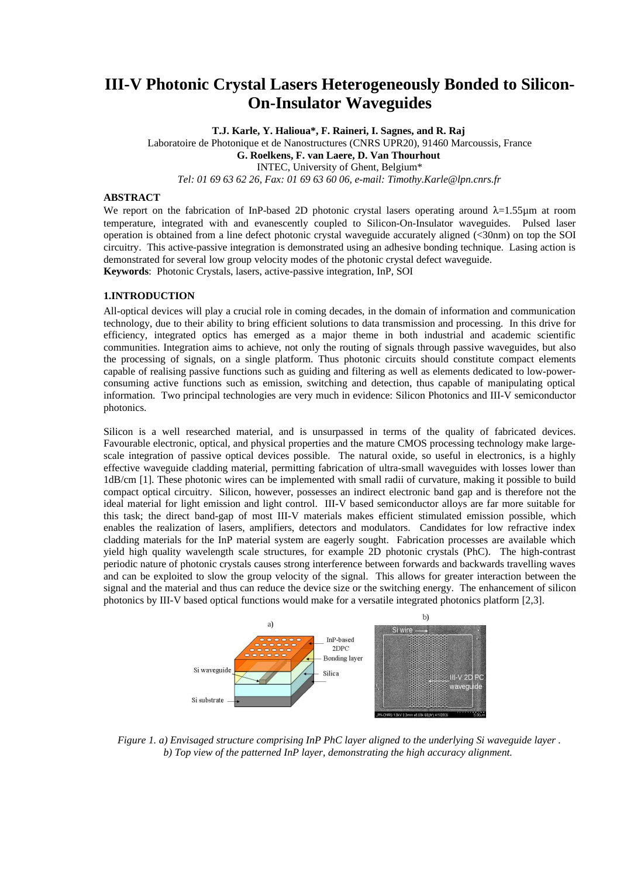# **III-V Photonic Crystal Lasers Heterogeneously Bonded to Silicon-On-Insulator Waveguides**

**T.J. Karle, Y. Halioua\*, F. Raineri, I. Sagnes, and R. Raj**  Laboratoire de Photonique et de Nanostructures (CNRS UPR20), 91460 Marcoussis, France **G. Roelkens, F. van Laere, D. Van Thourhout**  INTEC, University of Ghent, Belgium\* *Tel: 01 69 63 62 26, Fax: 01 69 63 60 06, e-mail: Timothy.Karle@lpn.cnrs.fr*

#### **ABSTRACT**

We report on the fabrication of InP-based 2D photonic crystal lasers operating around  $\lambda$ =1.55µm at room temperature, integrated with and evanescently coupled to Silicon-On-Insulator waveguides. Pulsed laser operation is obtained from a line defect photonic crystal waveguide accurately aligned (<30nm) on top the SOI circuitry. This active-passive integration is demonstrated using an adhesive bonding technique. Lasing action is demonstrated for several low group velocity modes of the photonic crystal defect waveguide. **Keywords**: Photonic Crystals, lasers, active-passive integration, InP, SOI

## **1.INTRODUCTION**

All-optical devices will play a crucial role in coming decades, in the domain of information and communication technology, due to their ability to bring efficient solutions to data transmission and processing. In this drive for efficiency, integrated optics has emerged as a major theme in both industrial and academic scientific communities. Integration aims to achieve, not only the routing of signals through passive waveguides, but also the processing of signals, on a single platform. Thus photonic circuits should constitute compact elements capable of realising passive functions such as guiding and filtering as well as elements dedicated to low-powerconsuming active functions such as emission, switching and detection, thus capable of manipulating optical information. Two principal technologies are very much in evidence: Silicon Photonics and III-V semiconductor photonics.

Silicon is a well researched material, and is unsurpassed in terms of the quality of fabricated devices. Favourable electronic, optical, and physical properties and the mature CMOS processing technology make largescale integration of passive optical devices possible. The natural oxide, so useful in electronics, is a highly effective waveguide cladding material, permitting fabrication of ultra-small waveguides with losses lower than 1dB/cm [1]. These photonic wires can be implemented with small radii of curvature, making it possible to build compact optical circuitry. Silicon, however, possesses an indirect electronic band gap and is therefore not the ideal material for light emission and light control. III-V based semiconductor alloys are far more suitable for this task; the direct band-gap of most III-V materials makes efficient stimulated emission possible, which enables the realization of lasers, amplifiers, detectors and modulators. Candidates for low refractive index cladding materials for the InP material system are eagerly sought. Fabrication processes are available which yield high quality wavelength scale structures, for example 2D photonic crystals (PhC). The high-contrast periodic nature of photonic crystals causes strong interference between forwards and backwards travelling waves and can be exploited to slow the group velocity of the signal. This allows for greater interaction between the signal and the material and thus can reduce the device size or the switching energy. The enhancement of silicon photonics by III-V based optical functions would make for a versatile integrated photonics platform [2,3].



*Figure 1. a) Envisaged structure comprising InP PhC layer aligned to the underlying Si waveguide layer . b) Top view of the patterned InP layer, demonstrating the high accuracy alignment.*